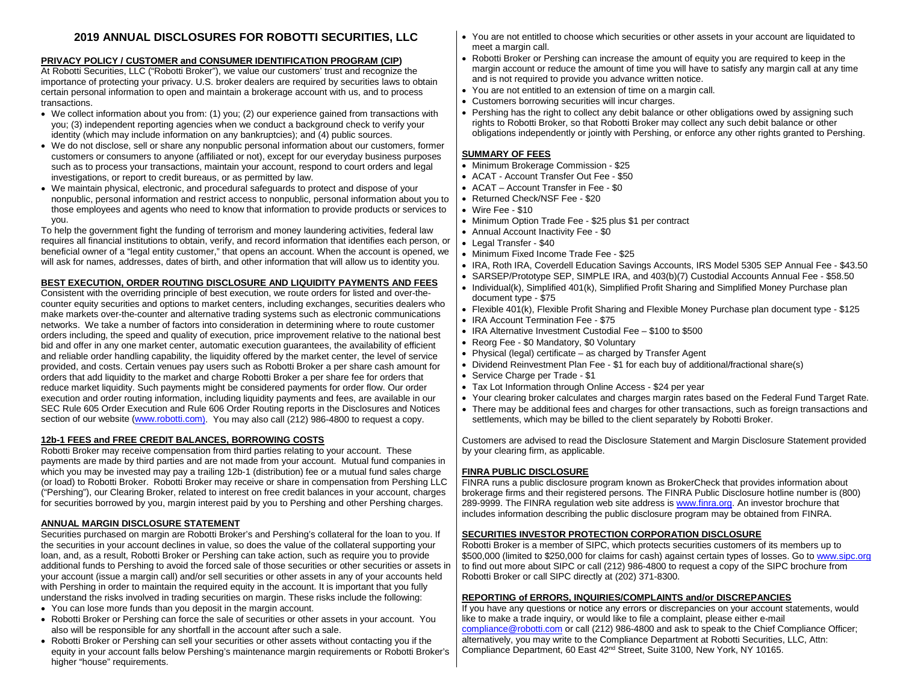# **2019 ANNUAL DISCLOSURES FOR ROBOTTI SECURITIES, LLC**

## **PRIVACY POLICY / CUSTOMER and CONSUMER IDENTIFICATION PROGRAM (CIP)**

At Robotti Securities, LLC ("Robotti Broker"), we value our customers' trust and recognize the importance of protecting your privacy. U.S. broker dealers are required by securities laws to obtain certain personal information to open and maintain a brokerage account with us, and to process transactions.

- We collect information about you from: (1) you; (2) our experience gained from transactions with you; (3) independent reporting agencies when we conduct a background check to verify your identity (which may include information on any bankruptcies); and (4) public sources.
- We do not disclose, sell or share any nonpublic personal information about our customers, former customers or consumers to anyone (affiliated or not), except for our everyday business purposes such as to process your transactions, maintain your account, respond to court orders and legal investigations, or report to credit bureaus, or as permitted by law.
- We maintain physical, electronic, and procedural safeguards to protect and dispose of your nonpublic, personal information and restrict access to nonpublic, personal information about you to those employees and agents who need to know that information to provide products or services to you.

To help the government fight the funding of terrorism and money laundering activities, federal law requires all financial institutions to obtain, verify, and record information that identifies each person, or beneficial owner of a "legal entity customer," that opens an account. When the account is opened, we will ask for names, addresses, dates of birth, and other information that will allow us to identity you.

## **BEST EXECUTION, ORDER ROUTING DISCLOSURE AND LIQUIDITY PAYMENTS AND FEES**

Consistent with the overriding principle of best execution, we route orders for listed and over-thecounter equity securities and options to market centers, including exchanges, securities dealers who make markets over-the-counter and alternative trading systems such as electronic communications networks. We take a number of factors into consideration in determining where to route customer orders including, the speed and quality of execution, price improvement relative to the national best bid and offer in any one market center, automatic execution guarantees, the availability of efficient and reliable order handling capability, the liquidity offered by the market center, the level of service provided, and costs. Certain venues pay users such as Robotti Broker a per share cash amount for orders that add liquidity to the market and charge Robotti Broker a per share fee for orders that reduce market liquidity. Such payments might be considered payments for order flow. Our order execution and order routing information, including liquidity payments and fees, are available in our SEC Rule 605 Order Execution and Rule 606 Order Routing reports in the Disclosures and Notices section of our website [\(www.robotti.com\)](http://www.robotti.com/). You may also call (212) 986-4800 to request a copy.

## **12b-1 FEES and FREE CREDIT BALANCES, BORROWING COSTS**

Robotti Broker may receive compensation from third parties relating to your account. These payments are made by third parties and are not made from your account. Mutual fund companies in which you may be invested may pay a trailing 12b-1 (distribution) fee or a mutual fund sales charge (or load) to Robotti Broker. Robotti Broker may receive or share in compensation from Pershing LLC ("Pershing"), our Clearing Broker, related to interest on free credit balances in your account, charges for securities borrowed by you, margin interest paid by you to Pershing and other Pershing charges.

## **ANNUAL MARGIN DISCLOSURE STATEMENT**

Securities purchased on margin are Robotti Broker's and Pershing's collateral for the loan to you. If the securities in your account declines in value, so does the value of the collateral supporting your loan, and, as a result, Robotti Broker or Pershing can take action, such as require you to provide additional funds to Pershing to avoid the forced sale of those securities or other securities or assets in your account (issue a margin call) and/or sell securities or other assets in any of your accounts held with Pershing in order to maintain the required equity in the account. It is important that you fully understand the risks involved in trading securities on margin. These risks include the following:

- You can lose more funds than you deposit in the margin account.
- Robotti Broker or Pershing can force the sale of securities or other assets in your account. You also will be responsible for any shortfall in the account after such a sale.
- Robotti Broker or Pershing can sell your securities or other assets without contacting you if the equity in your account falls below Pershing's maintenance margin requirements or Robotti Broker's higher "house" requirements.
- You are not entitled to choose which securities or other assets in your account are liquidated to meet a margin call.
- Robotti Broker or Pershing can increase the amount of equity you are required to keep in the margin account or reduce the amount of time you will have to satisfy any margin call at any time and is not required to provide you advance written notice.
- You are not entitled to an extension of time on a margin call.
- Customers borrowing securities will incur charges.
- Pershing has the right to collect any debit balance or other obligations owed by assigning such rights to Robotti Broker, so that Robotti Broker may collect any such debit balance or other obligations independently or jointly with Pershing, or enforce any other rights granted to Pershing.

## **SUMMARY OF FEES**

- Minimum Brokerage Commission \$25
- ACAT Account Transfer Out Fee \$50
- ACAT Account Transfer in Fee \$0
- Returned Check/NSF Fee \$20
- Wire Fee \$10
- Minimum Option Trade Fee \$25 plus \$1 per contract
- Annual Account Inactivity Fee \$0
- Legal Transfer \$40
- Minimum Fixed Income Trade Fee \$25
- IRA, Roth IRA, Coverdell Education Savings Accounts, IRS Model 5305 SEP Annual Fee \$43.50
- SARSEP/Prototype SEP, SIMPLE IRA, and 403(b)(7) Custodial Accounts Annual Fee \$58.50
- Individual(k), Simplified 401(k), Simplified Profit Sharing and Simplified Money Purchase plan document type - \$75
- Flexible 401(k), Flexible Profit Sharing and Flexible Money Purchase plan document type \$125
- IRA Account Termination Fee \$75
- IRA Alternative Investment Custodial Fee \$100 to \$500
- Reorg Fee \$0 Mandatory, \$0 Voluntary
- Physical (legal) certificate as charged by Transfer Agent
- Dividend Reinvestment Plan Fee \$1 for each buy of additional/fractional share(s)
- Service Charge per Trade \$1
- Tax Lot Information through Online Access \$24 per year
- Your clearing broker calculates and charges margin rates based on the Federal Fund Target Rate.
- There may be additional fees and charges for other transactions, such as foreign transactions and settlements, which may be billed to the client separately by Robotti Broker.

Customers are advised to read the Disclosure Statement and Margin Disclosure Statement provided by your clearing firm, as applicable.

## **FINRA PUBLIC DISCLOSURE**

FINRA runs a public disclosure program known as BrokerCheck that provides information about brokerage firms and their registered persons. The FINRA Public Disclosure hotline number is (800) 289-9999. The FINRA regulation web site address i[s www.finra.org.](http://www.finra.org/) An investor brochure that includes information describing the public disclosure program may be obtained from FINRA.

### **SECURITIES INVESTOR PROTECTION CORPORATION DISCLOSURE**

Robotti Broker is a member of SIPC, which protects securities customers of its members up to \$500,000 (limited to \$250,000 for claims for cash) against certain types of losses. Go t[o www.sipc.org](http://www.sipc.org/) to find out more about SIPC or call (212) 986-4800 to request a copy of the SIPC brochure from Robotti Broker or call SIPC directly at (202) 371-8300.

# **REPORTING of ERRORS, INQUIRIES/COMPLAINTS and/or DISCREPANCIES**

If you have any questions or notice any errors or discrepancies on your account statements, would like to make a trade inquiry, or would like to file a complaint, please either e-mail [compliance@robotti.com](mailto:compliance@robotti.com) or call (212) 986-4800 and ask to speak to the Chief Compliance Officer; alternatively, you may write to the Compliance Department at Robotti Securities, LLC, Attn: Compliance Department, 60 East 42nd Street, Suite 3100, New York, NY 10165.